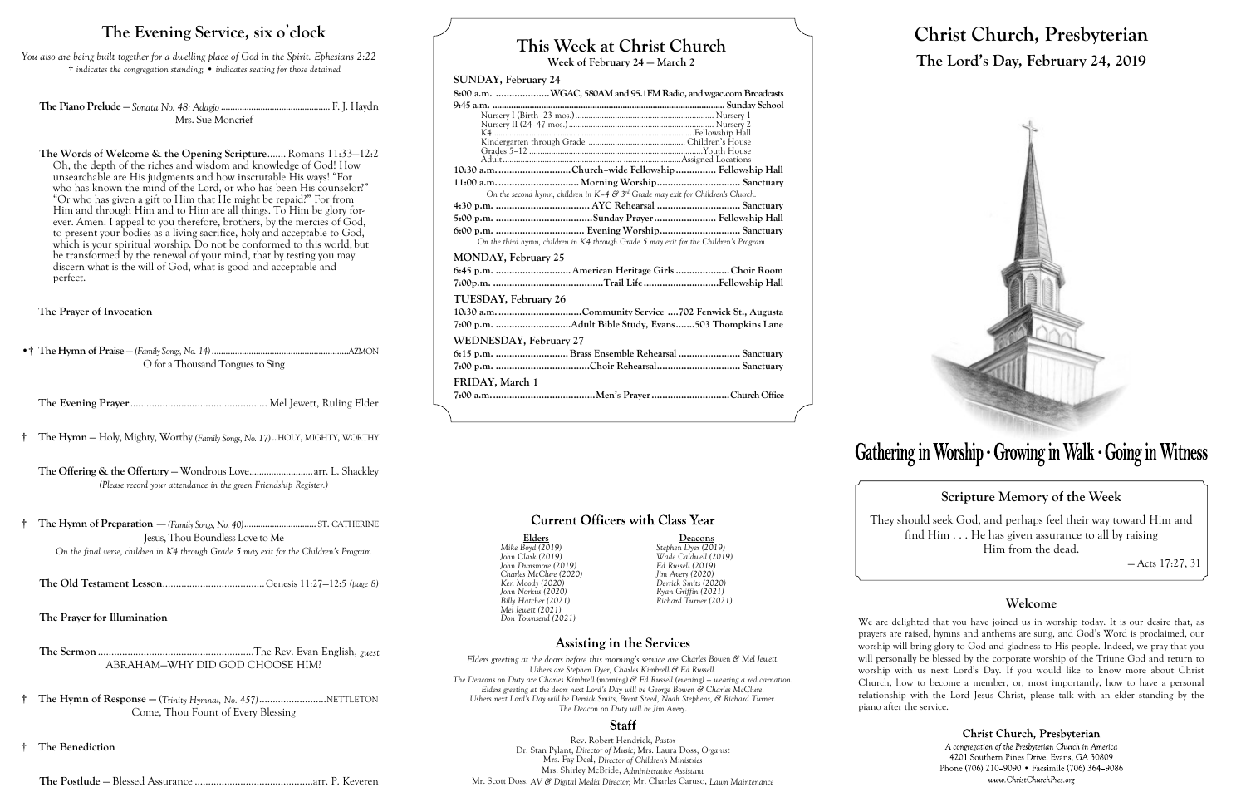# **This Week at Christ Church**

**Week of February 24 — March 2**

### **SUNDAY, February 24**

| 8:00 a.m. WGAC, 580AM and 95.1FM Radio, and wgac.com Broadcasts                       |
|---------------------------------------------------------------------------------------|
|                                                                                       |
|                                                                                       |
|                                                                                       |
|                                                                                       |
|                                                                                       |
|                                                                                       |
| 10:30 a.m. Church-wide Fellowship  Fellowship Hall                                    |
|                                                                                       |
| On the second hymn, children in $K-4$ & $3rd$ Grade may exit for Children's Church.   |
|                                                                                       |
|                                                                                       |
|                                                                                       |
| On the third hymn, children in K4 through Grade 5 may exit for the Children's Program |
| <b>MONDAY, February 25</b>                                                            |
| 6:45 p.m.  American Heritage Girls  Choir Room                                        |
|                                                                                       |
| TUESDAY, February 26                                                                  |
|                                                                                       |
|                                                                                       |
| WEDNESDAY, February 27                                                                |
| 6:15 p.m. Brass Ensemble Rehearsal  Sanctuary                                         |
|                                                                                       |
| FRIDAY, March 1                                                                       |
|                                                                                       |
| 7                                                                                     |

# **Current Officers with Class Year**

*<u>Elders</u><br>
<i>John Clark (2019)*<br> *John Clark (2019)*<br> *John Dunsmore (2019)*<br> *John Dunsmore (2019)*<br> *Led Russell (2019) John Dunsmore (2019) Ed Russell (2019)*

**Assisting in the Services** 

**Elders Deacons**

*Mike Boyd (2019) Stephen Dyer (2019)*

*Charles McClure (2020) Jim Avery (2020)*

*Ken Moody (2020) Derrick Smits (2020) John Norkus (2020) Ryan Griffin (2021)*

*Billy Hatcher (2021) Richard Turner (2021)*

*Mel Jewett (2021) Don Townsend (2021)*

**The Words of Welcome & the Opening Scripture........** Romans 11:33–12:2 Oh, the depth of the riches and wisdom and knowledge of God! How unsearchable are His judgments and how inscrutable His ways! "For who has known the mind of the Lord, or who has been His counselor?" "Or who has given a gift to Him that He might be repaid?" For from Him and through Him and to Him are all things. To Him be glory forever. Amen. I appeal to you therefore, brothers, by the mercies of God, to present your bodies as a living sacrifice, holy and acceptable to God, which is your spiritual worship. Do not be conformed to this world, but be transformed by the renewal of your mind, that by testing you may discern what is the will of God, what is good and acceptable and perfect.

> *Elders greeting at the doors before this morning's service are Charles Bowen & Mel Jewett. Ushers are Stephen Dyer, Charles Kimbrell & Ed Russell. The Deacons on Duty are Charles Kimbrell (morning) & Ed Russell (evening) – wearing a red carnation. Elders greeting at the doors next Lord's Day will be George Bowen & Charles McClure. Ushers next Lord's Day will be Derrick Smits, Brent Steed, Noah Stephens, & Richard Turner. The Deacon on Duty will be Jim Avery.*

## **Staff**

Rev. Robert Hendrick, *Pastor* Dr. Stan Pylant, *Director of Music;* Mrs. Laura Doss, *Organist* Mrs. Fay Deal, *Director of Children's Ministries* Mrs. Shirley McBride, *Administrative Assistant* Mr. Scott Doss, *AV & Digital Media Director;* Mr. Charles Caruso, *Lawn Maintenance*

# **Christ Church, Presbyterian The Lord's Day, February 24, 2019**



# Gathering in Worship · Growing in Walk · Going in Witness

# **Scripture Memory of the Week**

They should seek God, and perhaps feel their way toward Him and find Him . . . He has given assurance to all by raising Him from the dead.

— Acts 17:27, 31

# **Welcome**

We are delighted that you have joined us in worship today. It is our desire that, as prayers are raised, hymns and anthems are sung, and God's Word is proclaimed, our worship will bring glory to God and gladness to His people. Indeed, we pray that you will personally be blessed by the corporate worship of the Triune God and return to worship with us next Lord's Day. If you would like to know more about Christ Church, how to become a member, or, most importantly, how to have a personal relationship with the Lord Jesus Christ, please talk with an elder standing by the

> Christ Church, Presbyterian A congregation of the Presbyterian Church in America 4201 Southern Pines Drive, Evans, GA 30809 Phone (706) 210-9090 • Facsimile (706) 364-9086 www.ChristChurchPres.org

piano after the service.

# **The Evening Service, six o**'**clock**

*You also are being built together for a dwelling place of God in the Spirit. Ephesians 2:22* † *indicates the congregation standing;* • *indicates seating for those detained*

**The Piano Prelude** — *Sonata No. 48: Adagio*............................................... F. J. Haydn Mrs. Sue Moncrief

**The Prayer of Invocation**

•† **The Hymn of Praise** — *(Family Songs, No. 14)*...........................................................AZMON O for a Thousand Tongues to Sing

**The Evening Prayer**................................................... Mel Jewett, Ruling Elder

**† The Hymn** — Holy, Mighty, Worthy *(Family Songs, No. 17)*..HOLY, MIGHTY, WORTHY

**The Offering & the Offertory** — Wondrous Love..........................arr. L. Shackley *(Please record your attendance in the green Friendship Register.)*

**† The Hymn of Preparation** —*(Family Songs, No. 40)*............................... ST. CATHERINE Jesus, Thou Boundless Love to Me *On the final verse, children in K4 through Grade 5 may exit for the Children's Program*

**The Old Testament Lesson**......................................Genesis 11:27—12:5 *(page 8)*

**The Prayer for Illumination**

**The Sermon** ..........................................................The Rev. Evan English, *guest* ABRAHAM—WHY DID GOD CHOOSE HIM?

- **† The Hymn of Response —** (*Trinity Hymnal, No. 457)*.........................NETTLETON Come, Thou Fount of Every Blessing
- † **The Benediction**

**The Postlude** — Blessed Assurance ............................................arr. P. Keveren